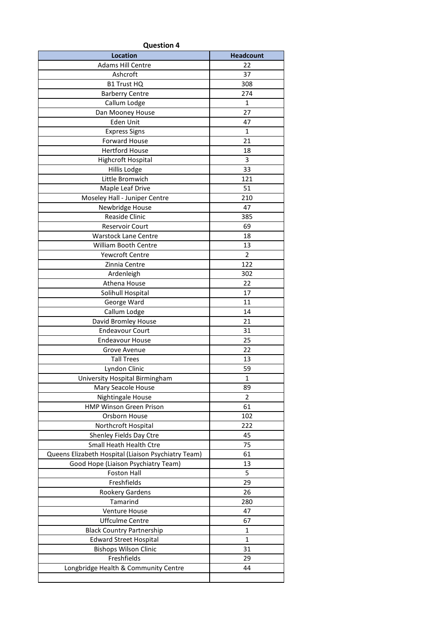| <b>Question 4</b>                                   |                  |  |  |
|-----------------------------------------------------|------------------|--|--|
| <b>Location</b>                                     | <b>Headcount</b> |  |  |
| <b>Adams Hill Centre</b>                            | 22               |  |  |
| Ashcroft                                            | 37               |  |  |
| <b>B1 Trust HQ</b>                                  | 308              |  |  |
| <b>Barberry Centre</b>                              | 274              |  |  |
| Callum Lodge                                        | $\mathbf{1}$     |  |  |
| Dan Mooney House                                    | 27               |  |  |
| Eden Unit                                           | 47               |  |  |
| <b>Express Signs</b>                                | 1                |  |  |
| <b>Forward House</b>                                | 21               |  |  |
| <b>Hertford House</b>                               | 18               |  |  |
| Highcroft Hospital                                  | 3                |  |  |
| Hillis Lodge                                        | 33               |  |  |
| Little Bromwich                                     | 121              |  |  |
| Maple Leaf Drive                                    | 51               |  |  |
| Moseley Hall - Juniper Centre                       | 210              |  |  |
| Newbridge House                                     | 47               |  |  |
| <b>Reaside Clinic</b>                               | 385              |  |  |
| <b>Reservoir Court</b>                              | 69               |  |  |
| <b>Warstock Lane Centre</b>                         | 18               |  |  |
| William Booth Centre                                | 13               |  |  |
| Yewcroft Centre                                     | $\overline{2}$   |  |  |
| Zinnia Centre                                       | 122              |  |  |
| Ardenleigh                                          | 302              |  |  |
| Athena House                                        | 22               |  |  |
| Solihull Hospital                                   | 17               |  |  |
| George Ward                                         | 11               |  |  |
| Callum Lodge                                        | 14               |  |  |
| David Bromley House                                 | 21               |  |  |
| <b>Endeavour Court</b>                              | 31               |  |  |
| <b>Endeavour House</b>                              | 25               |  |  |
| Grove Avenue                                        | 22               |  |  |
| <b>Tall Trees</b>                                   | 13               |  |  |
| Lyndon Clinic                                       | 59               |  |  |
| University Hospital Birmingham                      | 1                |  |  |
| Mary Seacole House                                  | 89               |  |  |
| Nightingale House                                   | 2                |  |  |
| <b>HMP Winson Green Prison</b>                      | 61               |  |  |
| Orsborn House                                       | 102              |  |  |
| Northcroft Hospital                                 | 222              |  |  |
| Shenley Fields Day Ctre                             | 45               |  |  |
| Small Heath Health Ctre                             | 75               |  |  |
| Queens Elizabeth Hospital (Liaison Psychiatry Team) | 61               |  |  |
| Good Hope (Liaison Psychiatry Team)                 | 13               |  |  |
| Foston Hall                                         | 5                |  |  |
| Freshfields                                         | 29               |  |  |
| Rookery Gardens                                     | 26               |  |  |
| Tamarind                                            | 280              |  |  |
| Venture House                                       | 47               |  |  |
| <b>Uffculme Centre</b>                              | 67               |  |  |
| <b>Black Country Partnership</b>                    | 1                |  |  |
| <b>Edward Street Hospital</b>                       | 1                |  |  |
| <b>Bishops Wilson Clinic</b>                        | 31               |  |  |
| Freshfields                                         | 29               |  |  |
| Longbridge Health & Community Centre                | 44               |  |  |
|                                                     |                  |  |  |